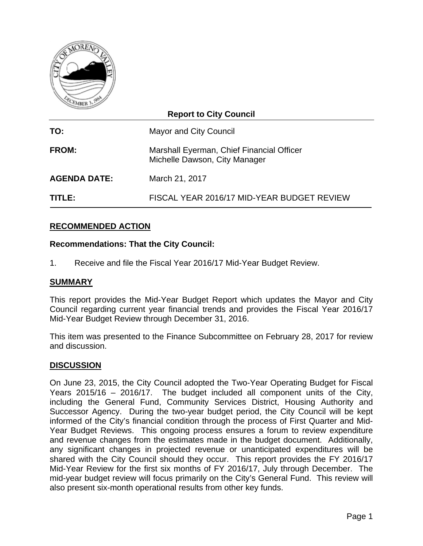

| <b>Report to City Council</b> |                                                                            |  |  |  |  |  |  |
|-------------------------------|----------------------------------------------------------------------------|--|--|--|--|--|--|
| TO:                           | Mayor and City Council                                                     |  |  |  |  |  |  |
| <b>FROM:</b>                  | Marshall Eyerman, Chief Financial Officer<br>Michelle Dawson, City Manager |  |  |  |  |  |  |
| <b>AGENDA DATE:</b>           | March 21, 2017                                                             |  |  |  |  |  |  |
| <b>TITLE:</b>                 | FISCAL YEAR 2016/17 MID-YEAR BUDGET REVIEW                                 |  |  |  |  |  |  |

# **RECOMMENDED ACTION**

## **Recommendations: That the City Council:**

1. Receive and file the Fiscal Year 2016/17 Mid-Year Budget Review.

#### **SUMMARY**

This report provides the Mid-Year Budget Report which updates the Mayor and City Council regarding current year financial trends and provides the Fiscal Year 2016/17 Mid-Year Budget Review through December 31, 2016.

This item was presented to the Finance Subcommittee on February 28, 2017 for review and discussion.

#### **DISCUSSION**

On June 23, 2015, the City Council adopted the Two-Year Operating Budget for Fiscal Years 2015/16 – 2016/17. The budget included all component units of the City, including the General Fund, Community Services District, Housing Authority and Successor Agency. During the two-year budget period, the City Council will be kept informed of the City's financial condition through the process of First Quarter and Mid-Year Budget Reviews. This ongoing process ensures a forum to review expenditure and revenue changes from the estimates made in the budget document. Additionally, any significant changes in projected revenue or unanticipated expenditures will be shared with the City Council should they occur. This report provides the FY 2016/17 Mid-Year Review for the first six months of FY 2016/17, July through December. The mid-year budget review will focus primarily on the City's General Fund. This review will also present six-month operational results from other key funds.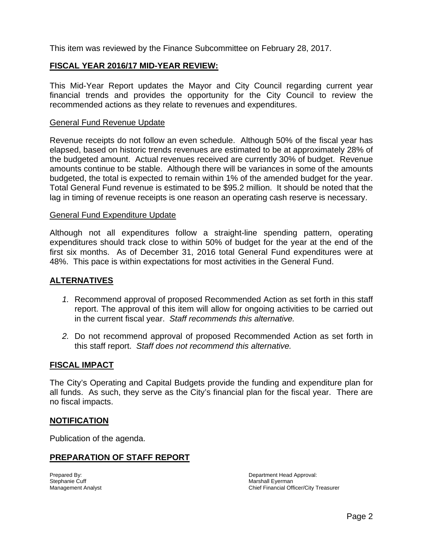This item was reviewed by the Finance Subcommittee on February 28, 2017.

## **FISCAL YEAR 2016/17 MID-YEAR REVIEW:**

This Mid-Year Report updates the Mayor and City Council regarding current year financial trends and provides the opportunity for the City Council to review the recommended actions as they relate to revenues and expenditures.

#### General Fund Revenue Update

Revenue receipts do not follow an even schedule. Although 50% of the fiscal year has elapsed, based on historic trends revenues are estimated to be at approximately 28% of the budgeted amount. Actual revenues received are currently 30% of budget. Revenue amounts continue to be stable. Although there will be variances in some of the amounts budgeted, the total is expected to remain within 1% of the amended budget for the year. Total General Fund revenue is estimated to be \$95.2 million. It should be noted that the lag in timing of revenue receipts is one reason an operating cash reserve is necessary.

#### General Fund Expenditure Update

Although not all expenditures follow a straight-line spending pattern, operating expenditures should track close to within 50% of budget for the year at the end of the first six months. As of December 31, 2016 total General Fund expenditures were at 48%. This pace is within expectations for most activities in the General Fund.

#### **ALTERNATIVES**

- *1.* Recommend approval of proposed Recommended Action as set forth in this staff report. The approval of this item will allow for ongoing activities to be carried out in the current fiscal year. *Staff recommends this alternative.*
- *2.* Do not recommend approval of proposed Recommended Action as set forth in this staff report. *Staff does not recommend this alternative.*

#### **FISCAL IMPACT**

The City's Operating and Capital Budgets provide the funding and expenditure plan for all funds. As such, they serve as the City's financial plan for the fiscal year. There are no fiscal impacts.

#### **NOTIFICATION**

Publication of the agenda.

## **PREPARATION OF STAFF REPORT**

Prepared By: The part of the prepared By: The part of the Department Head Approval: Department Head Approval: Stephanie Cuff Marshall Eyerman Management Analyst Chief Financial Officer/City Treasurer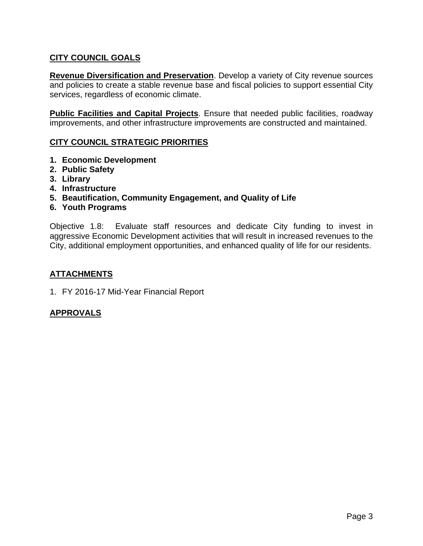# **CITY COUNCIL GOALS**

**Revenue Diversification and Preservation**. Develop a variety of City revenue sources and policies to create a stable revenue base and fiscal policies to support essential City services, regardless of economic climate.

**Public Facilities and Capital Projects**. Ensure that needed public facilities, roadway improvements, and other infrastructure improvements are constructed and maintained.

# **CITY COUNCIL STRATEGIC PRIORITIES**

- **1. Economic Development**
- **2. Public Safety**
- **3. Library**
- **4. Infrastructure**
- **5. Beautification, Community Engagement, and Quality of Life**
- **6. Youth Programs**

Objective 1.8: Evaluate staff resources and dedicate City funding to invest in aggressive Economic Development activities that will result in increased revenues to the City, additional employment opportunities, and enhanced quality of life for our residents.

## **ATTACHMENTS**

1. FY 2016-17 Mid-Year Financial Report

## **APPROVALS**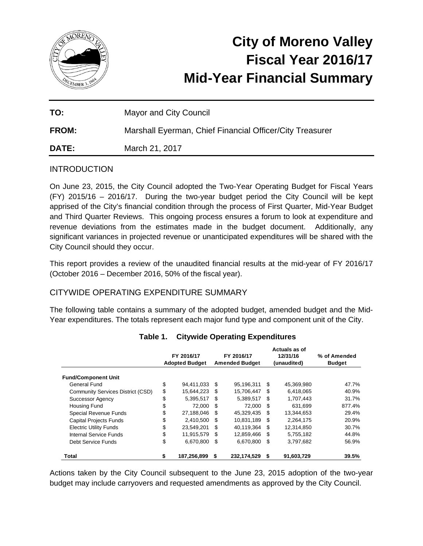

# **City of Moreno Valley Fiscal Year 2016/17 Mid-Year Financial Summary**

| TO:          | Mayor and City Council                                   |
|--------------|----------------------------------------------------------|
| <b>FROM:</b> | Marshall Eyerman, Chief Financial Officer/City Treasurer |
| <b>DATE:</b> | March 21, 2017                                           |

## **INTRODUCTION**

On June 23, 2015, the City Council adopted the Two-Year Operating Budget for Fiscal Years (FY) 2015/16 – 2016/17. During the two-year budget period the City Council will be kept apprised of the City's financial condition through the process of First Quarter, Mid-Year Budget and Third Quarter Reviews. This ongoing process ensures a forum to look at expenditure and revenue deviations from the estimates made in the budget document. Additionally, any significant variances in projected revenue or unanticipated expenditures will be shared with the City Council should they occur.

This report provides a review of the unaudited financial results at the mid-year of FY 2016/17 (October 2016 – December 2016, 50% of the fiscal year).

## CITYWIDE OPERATING EXPENDITURE SUMMARY

The following table contains a summary of the adopted budget, amended budget and the Mid-Year expenditures. The totals represent each major fund type and component unit of the City.

|                                   | FY 2016/17<br><b>Adopted Budget</b> | FY 2016/17<br><b>Amended Budget</b> |             |     | Actuals as of<br>12/31/16<br>(unaudited) | % of Amended<br><b>Budget</b> |  |
|-----------------------------------|-------------------------------------|-------------------------------------|-------------|-----|------------------------------------------|-------------------------------|--|
| <b>Fund/Component Unit</b>        |                                     |                                     |             |     |                                          |                               |  |
| General Fund                      | \$<br>94,411,033                    | -\$                                 | 95.196.311  | S   | 45,369,980                               | 47.7%                         |  |
| Community Services District (CSD) | \$<br>15,644,223                    | \$.                                 | 15,706,447  | \$. | 6,418,065                                | 40.9%                         |  |
| <b>Successor Agency</b>           | \$<br>5,395,517                     | \$                                  | 5,389,517   | \$. | 1,707,443                                | 31.7%                         |  |
| Housing Fund                      | \$<br>72,000                        | -\$                                 | 72.000      | \$. | 631,699                                  | 877.4%                        |  |
| <b>Special Revenue Funds</b>      | \$<br>27.188.046                    | \$                                  | 45.329.435  | \$. | 13.344.653                               | 29.4%                         |  |
| <b>Capital Projects Funds</b>     | \$<br>2,410,500                     | \$                                  | 10,831,189  | \$. | 2,264,175                                | 20.9%                         |  |
| <b>Electric Utility Funds</b>     | \$<br>23.549.201                    | S                                   | 40,119,364  | \$. | 12,314,850                               | 30.7%                         |  |
| Internal Service Funds            | \$<br>11,915,579                    | \$.                                 | 12,859,466  | \$. | 5,755,182                                | 44.8%                         |  |
| Debt Service Funds                | \$<br>6,670,800                     | \$                                  | 6,670,800   | \$  | 3,797,682                                | 56.9%                         |  |
| Total                             | 187.256.899                         | \$                                  | 232.174.529 | S   | 91,603,729                               | 39.5%                         |  |

## **Table 1. Citywide Operating Expenditures**

Actions taken by the City Council subsequent to the June 23, 2015 adoption of the two-year budget may include carryovers and requested amendments as approved by the City Council.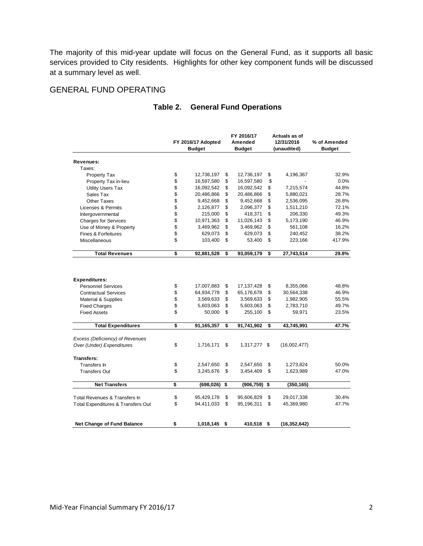The majority of this mid-year update will focus on the General Fund, as it supports all basic services provided to City residents. Highlights for other key component funds will be discussed at a summary level as well.

## GENERAL FUND OPERATING

|                                                                                                                                 |                      | FY 2016/17 Adopted<br><b>Budget</b>                |                      | FY 2016/17<br>Amended<br><b>Budget</b>             |                      | Actuals as of<br>12/31/2016<br>(unaudited)        | % of Amended<br><b>Budget</b>    |
|---------------------------------------------------------------------------------------------------------------------------------|----------------------|----------------------------------------------------|----------------------|----------------------------------------------------|----------------------|---------------------------------------------------|----------------------------------|
| Revenues:                                                                                                                       |                      |                                                    |                      |                                                    |                      |                                                   |                                  |
| Taxes:                                                                                                                          |                      |                                                    |                      |                                                    |                      |                                                   |                                  |
| Property Tax                                                                                                                    | \$                   | 12,736,197                                         | \$                   | 12,736,197                                         | \$                   | 4,196,367                                         | 32.9%                            |
| Property Tax in-lieu                                                                                                            | \$                   | 16,597,580                                         | \$                   | 16,597,580                                         | \$                   |                                                   | 0.0%                             |
| <b>Utility Users Tax</b>                                                                                                        | \$                   | 16,092,542                                         | \$                   | 16,092,542                                         | \$                   | 7,215,574                                         | 44.8%                            |
| Sales Tax                                                                                                                       | \$                   | 20,486,866                                         | \$                   | 20,486,866                                         | \$                   | 5,880,021                                         | 28.7%                            |
| Other Taxes                                                                                                                     | \$                   | 9,452,668                                          | \$                   | 9,452,668                                          | \$                   | 2,536,095                                         | 26.8%                            |
| Licenses & Permits                                                                                                              | \$                   | 2,126,877                                          | \$                   | 2,096,377                                          | \$                   | 1,511,210                                         | 72.1%                            |
| Intergovernmental                                                                                                               | \$                   | 215,000                                            | \$                   | 418,371                                            | \$                   | 206,330                                           | 49.3%                            |
| <b>Charges for Services</b>                                                                                                     | \$                   | 10,971,363                                         | \$                   | 11,026,143                                         | \$                   | 5,173,190                                         | 46.9%                            |
| Use of Money & Property                                                                                                         | \$                   | 3,469,962                                          | \$                   | 3,469,962                                          | \$                   | 561,108                                           | 16.2%                            |
| Fines & Forfeitures                                                                                                             | \$                   | 629,073                                            | \$                   | 629,073                                            | \$                   | 240,452                                           | 38.2%                            |
| Miscellaneous                                                                                                                   | \$                   | 103,400                                            | \$                   | 53,400                                             | \$                   | 223,166                                           | 417.9%                           |
| <b>Total Revenues</b>                                                                                                           | \$                   | 92,881,528                                         | \$                   | 93,059,179                                         | \$                   | 27,743,514                                        | 29.8%                            |
| <b>Expenditures:</b><br><b>Personnel Services</b><br><b>Contractual Services</b><br>Material & Supplies<br><b>Fixed Charges</b> | \$<br>\$<br>\$<br>\$ | 17,007,883<br>64,934,778<br>3,569,633<br>5,603,063 | \$<br>\$<br>\$<br>\$ | 17,137,428<br>65,176,678<br>3,569,633<br>5,603,063 | \$<br>\$<br>\$<br>\$ | 8,355,066<br>30,564,338<br>1,982,905<br>2,783,710 | 48.8%<br>46.9%<br>55.5%<br>49.7% |
| <b>Fixed Assets</b>                                                                                                             | \$                   | 50,000                                             | \$                   | 255,100                                            | \$                   | 59,971                                            | 23.5%                            |
| <b>Total Expenditures</b>                                                                                                       | \$                   | 91,165,357                                         | \$                   | 91,741,902                                         | \$                   | 43,745,991                                        | 47.7%                            |
| Excess (Deficiency) of Revenues                                                                                                 |                      |                                                    |                      |                                                    |                      |                                                   |                                  |
| Over (Under) Expenditures                                                                                                       | \$                   | 1,716,171                                          | \$                   | 1,317,277 \$                                       |                      | (16,002,477)                                      |                                  |
| Transfers:                                                                                                                      |                      |                                                    |                      |                                                    |                      |                                                   |                                  |
| Transfers In                                                                                                                    | \$                   | 2,547,650                                          | \$                   | 2,547,650                                          | \$                   | 1,273,824                                         | 50.0%                            |
| <b>Transfers Out</b>                                                                                                            | \$                   | 3,245,676                                          | \$                   | 3,454,409                                          | \$                   | 1,623,989                                         | 47.0%                            |
| <b>Net Transfers</b>                                                                                                            | \$                   | (698, 026)                                         | \$                   | (906, 759)                                         | \$                   | (350, 165)                                        |                                  |
| Total Revenues & Transfers In                                                                                                   | \$                   | 95,429,178                                         | \$                   | 95,606,829                                         | \$                   | 29,017,338                                        | 30.4%                            |
| Total Expenditures & Transfers Out                                                                                              | \$                   | 94,411,033                                         | \$                   | 95,196,311                                         | \$                   | 45,369,980                                        | 47.7%                            |
| <b>Net Change of Fund Balance</b>                                                                                               | \$                   | 1,018,145                                          | \$                   | 410,518                                            | \$                   | (16, 352, 642)                                    |                                  |

## **Table 2. General Fund Operations**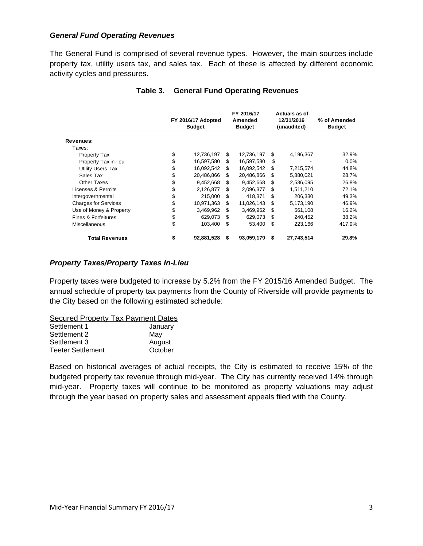#### *General Fund Operating Revenues*

The General Fund is comprised of several revenue types. However, the main sources include property tax, utility users tax, and sales tax. Each of these is affected by different economic activity cycles and pressures.

|                             | FY 2016/17 Adopted<br><b>Budget</b> |    | FY 2016/17<br>Amended<br><b>Budget</b> |     | Actuals as of<br>12/31/2016<br>(unaudited) | % of Amended<br><b>Budget</b> |  |
|-----------------------------|-------------------------------------|----|----------------------------------------|-----|--------------------------------------------|-------------------------------|--|
| Revenues:                   |                                     |    |                                        |     |                                            |                               |  |
| Taxes:                      |                                     |    |                                        |     |                                            |                               |  |
| Property Tax                | \$<br>12,736,197                    | \$ | 12,736,197                             | S   | 4,196,367                                  | 32.9%                         |  |
| Property Tax in-lieu        | \$<br>16,597,580                    | S  | 16,597,580                             | S   |                                            | $0.0\%$                       |  |
| <b>Utility Users Tax</b>    | \$<br>16,092,542                    | S  | 16,092,542                             | S   | 7,215,574                                  | 44.8%                         |  |
| Sales Tax                   | \$<br>20,486,866                    | S  | 20,486,866                             | S   | 5,880,021                                  | 28.7%                         |  |
| Other Taxes                 | \$<br>9,452,668                     | S  | 9,452,668                              | S   | 2,536,095                                  | 26.8%                         |  |
| Licenses & Permits          | \$<br>2,126,877                     | S  | 2,096,377                              | S   | 1,511,210                                  | 72.1%                         |  |
| Intergovernmental           | \$<br>215,000                       | S  | 418,371                                | \$. | 206,330                                    | 49.3%                         |  |
| <b>Charges for Services</b> | \$<br>10,971,363                    | \$ | 11,026,143                             | \$  | 5,173,190                                  | 46.9%                         |  |
| Use of Money & Property     | \$<br>3,469,962                     | S  | 3,469,962                              | \$. | 561,108                                    | 16.2%                         |  |
| Fines & Forfeitures         | \$<br>629,073                       | S  | 629,073                                | S   | 240,452                                    | 38.2%                         |  |
| <b>Miscellaneous</b>        | \$<br>103,400                       | S  | 53,400                                 | S   | 223,166                                    | 417.9%                        |  |
| <b>Total Revenues</b>       | \$<br>92,881,528                    | \$ | 93,059,179                             | \$  | 27,743,514                                 | 29.8%                         |  |

#### **Table 3. General Fund Operating Revenues**

## *Property Taxes/Property Taxes In-Lieu*

Property taxes were budgeted to increase by 5.2% from the FY 2015/16 Amended Budget. The annual schedule of property tax payments from the County of Riverside will provide payments to the City based on the following estimated schedule:

Secured Property Tax Payment Dates

| Settlement 1             | January |
|--------------------------|---------|
| Settlement 2             | May     |
| Settlement 3             | August  |
| <b>Teeter Settlement</b> | October |

Based on historical averages of actual receipts, the City is estimated to receive 15% of the budgeted property tax revenue through mid-year. The City has currently received 14% through mid-year. Property taxes will continue to be monitored as property valuations may adjust through the year based on property sales and assessment appeals filed with the County.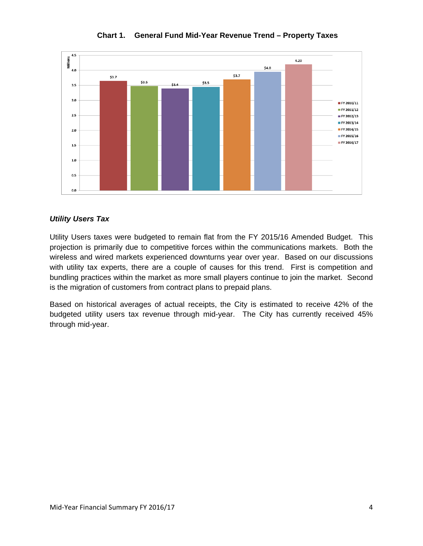

## **Chart 1. General Fund Mid-Year Revenue Trend – Property Taxes**

#### *Utility Users Tax*

Utility Users taxes were budgeted to remain flat from the FY 2015/16 Amended Budget. This projection is primarily due to competitive forces within the communications markets. Both the wireless and wired markets experienced downturns year over year. Based on our discussions with utility tax experts, there are a couple of causes for this trend. First is competition and bundling practices within the market as more small players continue to join the market. Second is the migration of customers from contract plans to prepaid plans.

Based on historical averages of actual receipts, the City is estimated to receive 42% of the budgeted utility users tax revenue through mid-year. The City has currently received 45% through mid-year.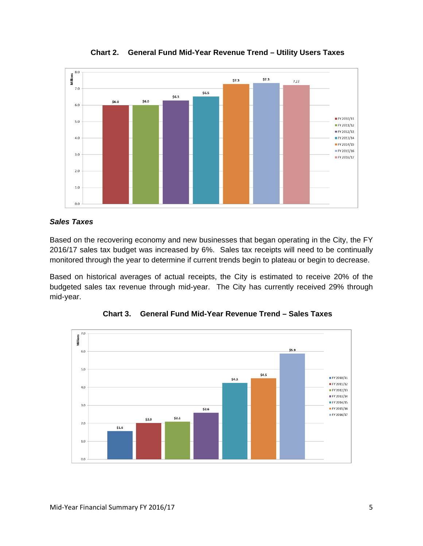

**Chart 2. General Fund Mid-Year Revenue Trend – Utility Users Taxes** 

#### *Sales Taxes*

Based on the recovering economy and new businesses that began operating in the City, the FY 2016/17 sales tax budget was increased by 6%. Sales tax receipts will need to be continually monitored through the year to determine if current trends begin to plateau or begin to decrease.

Based on historical averages of actual receipts, the City is estimated to receive 20% of the budgeted sales tax revenue through mid-year. The City has currently received 29% through mid-year.



**Chart 3. General Fund Mid-Year Revenue Trend – Sales Taxes**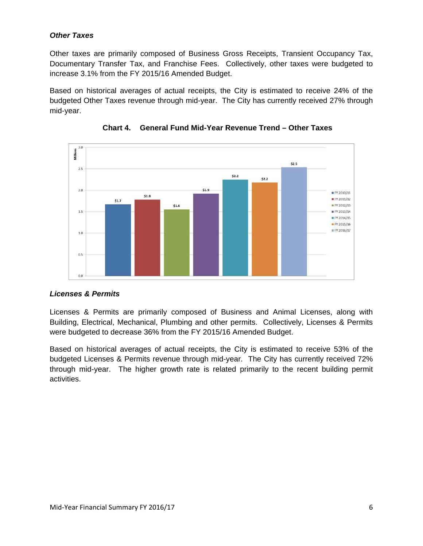## *Other Taxes*

Other taxes are primarily composed of Business Gross Receipts, Transient Occupancy Tax, Documentary Transfer Tax, and Franchise Fees. Collectively, other taxes were budgeted to increase 3.1% from the FY 2015/16 Amended Budget.

Based on historical averages of actual receipts, the City is estimated to receive 24% of the budgeted Other Taxes revenue through mid-year. The City has currently received 27% through mid-year.





# *Licenses & Permits*

Licenses & Permits are primarily composed of Business and Animal Licenses, along with Building, Electrical, Mechanical, Plumbing and other permits. Collectively, Licenses & Permits were budgeted to decrease 36% from the FY 2015/16 Amended Budget.

Based on historical averages of actual receipts, the City is estimated to receive 53% of the budgeted Licenses & Permits revenue through mid-year. The City has currently received 72% through mid-year. The higher growth rate is related primarily to the recent building permit activities.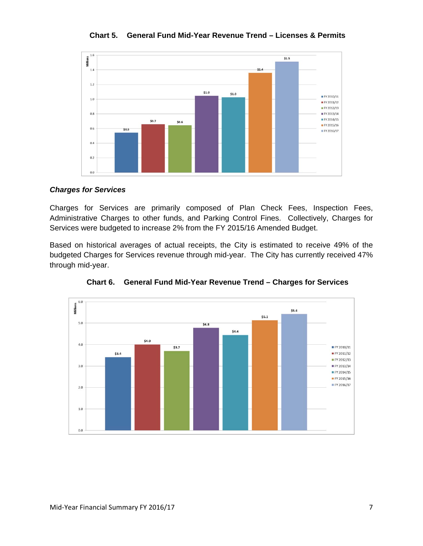

**Chart 5. General Fund Mid-Year Revenue Trend – Licenses & Permits** 

#### *Charges for Services*

Charges for Services are primarily composed of Plan Check Fees, Inspection Fees, Administrative Charges to other funds, and Parking Control Fines. Collectively, Charges for Services were budgeted to increase 2% from the FY 2015/16 Amended Budget.

Based on historical averages of actual receipts, the City is estimated to receive 49% of the budgeted Charges for Services revenue through mid-year. The City has currently received 47% through mid-year.



**Chart 6. General Fund Mid-Year Revenue Trend – Charges for Services**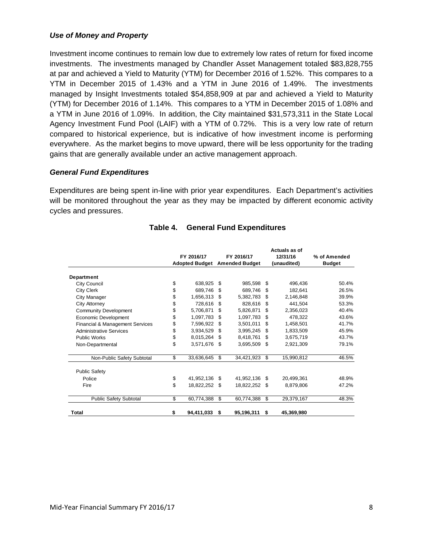#### *Use of Money and Property*

Investment income continues to remain low due to extremely low rates of return for fixed income investments. The investments managed by Chandler Asset Management totaled \$83,828,755 at par and achieved a Yield to Maturity (YTM) for December 2016 of 1.52%. This compares to a YTM in December 2015 of 1.43% and a YTM in June 2016 of 1.49%. The investments managed by Insight Investments totaled \$54,858,909 at par and achieved a Yield to Maturity (YTM) for December 2016 of 1.14%. This compares to a YTM in December 2015 of 1.08% and a YTM in June 2016 of 1.09%. In addition, the City maintained \$31,573,311 in the State Local Agency Investment Fund Pool (LAIF) with a YTM of 0.72%. This is a very low rate of return compared to historical experience, but is indicative of how investment income is performing everywhere. As the market begins to move upward, there will be less opportunity for the trading gains that are generally available under an active management approach.

## *General Fund Expenditures*

Expenditures are being spent in-line with prior year expenditures. Each Department's activities will be monitored throughout the year as they may be impacted by different economic activity cycles and pressures.

|                                 | FY 2016/17 |                       |      | FY 2016/17            |     | Actuals as of<br>12/31/16 | % of Amended  |  |
|---------------------------------|------------|-----------------------|------|-----------------------|-----|---------------------------|---------------|--|
|                                 |            | <b>Adopted Budget</b> |      | <b>Amended Budget</b> |     | (unaudited)               | <b>Budget</b> |  |
| Department                      |            |                       |      |                       |     |                           |               |  |
| <b>City Council</b>             | \$         | 638,925               | \$   | 985,598               | \$  | 496,436                   | 50.4%         |  |
| <b>City Clerk</b>               | \$         | 689,746               | \$   | 689.746               | \$  | 182.641                   | 26.5%         |  |
| City Manager                    | \$         | 1,656,313             | \$   | 5,382,783             | \$  | 2.146.848                 | 39.9%         |  |
| City Attorney                   | \$         | 728,616               | \$   | 828,616               | \$  | 441.504                   | 53.3%         |  |
| <b>Community Development</b>    | \$         | 5,706,871             | \$   | 5,826,871             | \$  | 2,356,023                 | 40.4%         |  |
| Economic Development            | \$         | 1,097,783             | \$   | 1,097,783             | \$  | 478.322                   | 43.6%         |  |
| Financial & Management Services | \$         | 7,596,922             | \$   | 3,501,011             | \$  | 1,458,501                 | 41.7%         |  |
| <b>Administrative Services</b>  | \$         | 3,934,529             | -\$  | 3,995,245             | \$  | 1,833,509                 | 45.9%         |  |
| <b>Public Works</b>             | \$         | 8,015,264             | \$   | 8,418,761             | \$  | 3,675,719                 | 43.7%         |  |
| Non-Departmental                | \$         | 3,571,676             | - \$ | 3,695,509             | \$  | 2,921,309                 | 79.1%         |  |
| Non-Public Safety Subtotal      | \$         | 33,636,645            | \$   | 34,421,923            | \$. | 15,990,812                | 46.5%         |  |
| <b>Public Safety</b>            |            |                       |      |                       |     |                           |               |  |
| Police                          | \$         | 41,952,136            | \$   | 41,952,136            | \$. | 20.499.361                | 48.9%         |  |
| Fire                            | \$         | 18,822,252 \$         |      | 18,822,252 \$         |     | 8.879.806                 | 47.2%         |  |
| <b>Public Safety Subtotal</b>   | \$         | 60,774,388            | \$   | 60,774,388            | \$  | 29,379,167                | 48.3%         |  |
| Total                           | \$         | 94,411,033            | \$   | 95,196,311            | \$  | 45,369,980                |               |  |

# **Table 4. General Fund Expenditures**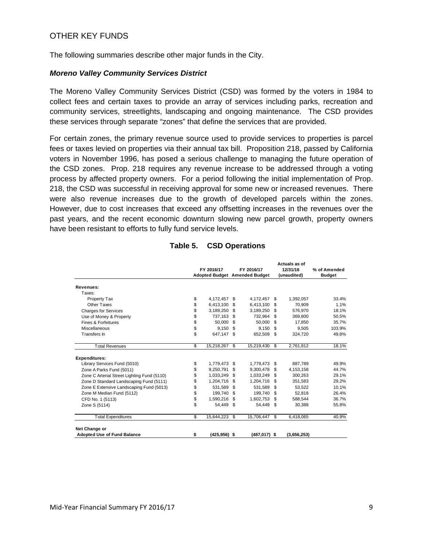# OTHER KEY FUNDS

The following summaries describe other major funds in the City.

#### *Moreno Valley Community Services District*

The Moreno Valley Community Services District (CSD) was formed by the voters in 1984 to collect fees and certain taxes to provide an array of services including parks, recreation and community services, streetlights, landscaping and ongoing maintenance. The CSD provides these services through separate "zones" that define the services that are provided.

For certain zones, the primary revenue source used to provide services to properties is parcel fees or taxes levied on properties via their annual tax bill. Proposition 218, passed by California voters in November 1996, has posed a serious challenge to managing the future operation of the CSD zones. Prop. 218 requires any revenue increase to be addressed through a voting process by affected property owners. For a period following the initial implementation of Prop. 218, the CSD was successful in receiving approval for some new or increased revenues. There were also revenue increases due to the growth of developed parcels within the zones. However, due to cost increases that exceed any offsetting increases in the revenues over the past years, and the recent economic downturn slowing new parcel growth, property owners have been resistant to efforts to fully fund service levels.

|                                             | FY 2016/17 |                 | FY 2016/17<br><b>Adopted Budget Amended Budget</b> |              | Actuals as of<br>12/31/16<br>(unaudited) |             | % of Amended<br><b>Budget</b> |
|---------------------------------------------|------------|-----------------|----------------------------------------------------|--------------|------------------------------------------|-------------|-------------------------------|
|                                             |            |                 |                                                    |              |                                          |             |                               |
| Revenues:                                   |            |                 |                                                    |              |                                          |             |                               |
| Taxes:                                      |            |                 |                                                    |              |                                          |             |                               |
| Property Tax                                | \$         | 4,172,457 \$    |                                                    | 4,172,457    | \$                                       | 1,392,057   | 33.4%                         |
| Other Taxes                                 | \$         | 6,413,100       | \$.                                                | 6,413,100    | \$                                       | 70.909      | 1.1%                          |
| <b>Charges for Services</b>                 | \$         | 3,189,250       | - \$                                               | 3,189,250    | \$                                       | 576,970     | 18.1%                         |
| Use of Money & Property                     | \$         | 737,163         | \$                                                 | 732,964      | \$                                       | 369,800     | 50.5%                         |
| Fines & Forfeitures                         | \$         | 50.000          | \$                                                 | 50.000       | \$                                       | 17.850      | 35.7%                         |
| Miscellaneous                               | \$         | 9.150           | - \$                                               | 9,150        | \$                                       | 9.505       | 103.9%                        |
| Transfers In                                | \$         | 647.147 \$      |                                                    | 652.509      | \$                                       | 324.720     | 49.8%                         |
| <b>Total Revenues</b>                       | \$         | 15,218,267 \$   |                                                    | 15,219,430   | \$                                       | 2,761,812   | 18.1%                         |
| <b>Expenditures:</b>                        |            |                 |                                                    |              |                                          |             |                               |
| Library Services Fund (5010)                | \$         | 1.779.473 \$    |                                                    | 1.779.473    | \$                                       | 887.789     | 49.9%                         |
| Zone A Parks Fund (5011)                    | \$         | 9,250,791       | \$.                                                | 9,300,478    | \$                                       | 4,153,158   | 44.7%                         |
| Zone C Arterial Street Lighting Fund (5110) | \$         | 1,033,249       | \$                                                 | 1,033,249    | \$                                       | 300,263     | 29.1%                         |
| Zone D Standard Landscaping Fund (5111)     | \$         | 1,204,716       | -\$                                                | 1,204,716    | \$                                       | 351,583     | 29.2%                         |
| Zone E Extensive Landscaping Fund (5013)    | \$         | 531,589         | -\$                                                | 531,589      | \$                                       | 53,522      | 10.1%                         |
| Zone M Median Fund (5112)                   | \$         | 199.740         | \$                                                 | 199.740      | \$                                       | 52.818      | 26.4%                         |
| CFD No. 1 (5113)                            | \$         | 1.590.216       | \$                                                 | 1.602.753    | \$                                       | 588.544     | 36.7%                         |
| Zone S (5114)                               | \$         | 54.449          | - \$                                               | 54.449       | \$                                       | 30,388      | 55.8%                         |
| <b>Total Expenditures</b>                   | \$         | 15,644,223 \$   |                                                    | 15,706,447   | \$                                       | 6,418,065   | 40.9%                         |
| Net Change or                               |            |                 |                                                    |              |                                          |             |                               |
| <b>Adopted Use of Fund Balance</b>          | \$         | $(425, 956)$ \$ |                                                    | (487,017) \$ |                                          | (3,656,253) |                               |

#### **Table 5. CSD Operations**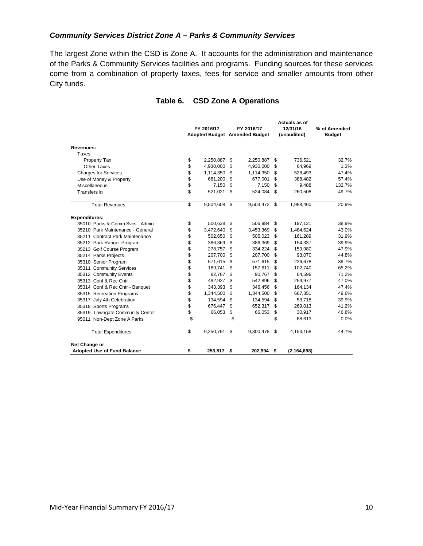## *Community Services District Zone A – Parks & Community Services*

The largest Zone within the CSD is Zone A. It accounts for the administration and maintenance of the Parks & Community Services facilities and programs. Funding sources for these services come from a combination of property taxes, fees for service and smaller amounts from other City funds.

|                                    |    |            |                                      |            | Actuals as of |               |               |
|------------------------------------|----|------------|--------------------------------------|------------|---------------|---------------|---------------|
|                                    |    | FY 2016/17 | FY 2016/17                           |            | 12/31/16      |               | % of Amended  |
|                                    |    |            | <b>Adopted Budget Amended Budget</b> |            | (unaudited)   |               | <b>Budget</b> |
| Revenues:                          |    |            |                                      |            |               |               |               |
| Taxes:                             |    |            |                                      |            |               |               |               |
| Property Tax                       | \$ | 2,250,887  | \$                                   | 2,250,887  | \$            | 736,521       | 32.7%         |
| <b>Other Taxes</b>                 | \$ | 4,930,000  | \$                                   | 4,930,000  | \$            | 64,969        | 1.3%          |
| <b>Charges for Services</b>        | \$ | 1,114,350  | \$                                   | 1,114,350  | \$            | 528,493       | 47.4%         |
| Use of Money & Property            | \$ | 681,200    | \$                                   | 677,001    | \$            | 388,482       | 57.4%         |
| <b>Miscellaneous</b>               | \$ | 7,150      | \$                                   | 7,150      | \$            | 9,488         | 132.7%        |
| Transfers In                       | \$ | 521,021    | \$                                   | 524,084    | \$            | 260,508       | 49.7%         |
| <b>Total Revenues</b>              | \$ | 9,504,608  | \$                                   | 9,503,472  | \$            | 1,988,460     | 20.9%         |
| <b>Expenditures:</b>               |    |            |                                      |            |               |               |               |
| 35010 Parks & Comm Sycs - Admin    | \$ | 500.638    | \$                                   | 506.984    | \$            | 197,121       | 38.9%         |
| 35210 Park Maintenance - General   | \$ | 3,472,640  | \$                                   | 3,453,369  | \$            | 1,484,624     | 43.0%         |
| 35211 Contract Park Maintenance    | \$ | 502,650    | \$                                   | 505,023    | \$            | 161,289       | 31.9%         |
| 35212 Park Ranger Program          | \$ | 386,369    | \$                                   | 386.369    | \$            | 154.337       | 39.9%         |
| 35213 Golf Course Program          | \$ | 278,757    | \$                                   | 334,224    | \$            | 159,980       | 47.9%         |
| 35214 Parks Projects               | \$ | 207,700    | \$                                   | 207,700    | \$            | 93,070        | 44.8%         |
| 35310 Senior Program               | \$ | 571,615    | \$                                   | 571,615    | \$            | 226,678       | 39.7%         |
| 35311 Community Services           | \$ | 189,741    | \$                                   | 157,611    | \$            | 102,740       | 65.2%         |
| 35312 Community Events             | \$ | 82.767     | \$                                   | 90,767     | \$            | 64.596        | 71.2%         |
| 35313 Conf & Rec Cntr              | \$ | 492,927    | \$                                   | 542,896    | \$            | 254,977       | 47.0%         |
| 35314 Conf & Rec Cntr - Banquet    | \$ | 343,393    | \$                                   | 346,456    | \$            | 164,134       | 47.4%         |
| 35315 Recreation Programs          | \$ | 1,344,500  | \$                                   | 1,344,500  | \$            | 667,351       | 49.6%         |
| 35317 July 4th Celebration         | \$ | 134,594    | \$                                   | 134,594    | \$            | 53,718        | 39.9%         |
| 35318 Sports Programs              | \$ | 676,447    | \$                                   | 652,317    | \$            | 269,013       | 41.2%         |
| 35319 Towngate Community Center    | \$ | 66,053     | \$                                   | 66,053     | \$            | 30,917        | 46.8%         |
| 95011 Non-Dept Zone A Parks        | \$ |            | \$                                   |            | \$            | 68,613        | 0.0%          |
| <b>Total Expenditures</b>          | \$ | 9,250,791  | \$                                   | 9,300,478  | \$            | 4,153,158     | 44.7%         |
| Net Change or                      |    |            |                                      |            |               |               |               |
| <b>Adopted Use of Fund Balance</b> | \$ | 253,817    | \$                                   | 202,994 \$ |               | (2, 164, 698) |               |

## **Table 6. CSD Zone A Operations**